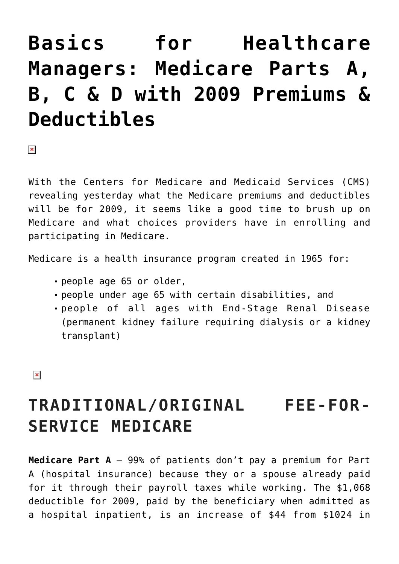# **[Basics for Healthcare](https://managemypractice.com/basics-for-healthcare-managers-medicare-parts-a-b-c-d-with-2009-premiums-deductibles/) [Managers: Medicare Parts A,](https://managemypractice.com/basics-for-healthcare-managers-medicare-parts-a-b-c-d-with-2009-premiums-deductibles/) [B, C & D with 2009 Premiums &](https://managemypractice.com/basics-for-healthcare-managers-medicare-parts-a-b-c-d-with-2009-premiums-deductibles/) [Deductibles](https://managemypractice.com/basics-for-healthcare-managers-medicare-parts-a-b-c-d-with-2009-premiums-deductibles/)**

 $\pmb{\times}$ 

With the Centers for Medicare and Medicaid Services (CMS) revealing yesterday what the Medicare premiums and deductibles will be for 2009, it seems like a good time to brush up on Medicare and what choices providers have in enrolling and participating in Medicare.

Medicare is a health insurance program created in 1965 for:

- people age 65 or older,
- people under age 65 with certain disabilities, and
- people of all ages with End-Stage Renal Disease (permanent kidney failure requiring dialysis or a kidney transplant)

 $\pmb{\times}$ 

# **TRADITIONAL/ORIGINAL FEE-FOR-SERVICE MEDICARE**

**Medicare Part A** – 99% of patients don't pay a premium for Part A (hospital insurance) because they or a spouse already paid for it through their payroll taxes while working. The \$1,068 deductible for 2009, paid by the beneficiary when admitted as a hospital inpatient, is an increase of \$44 from \$1024 in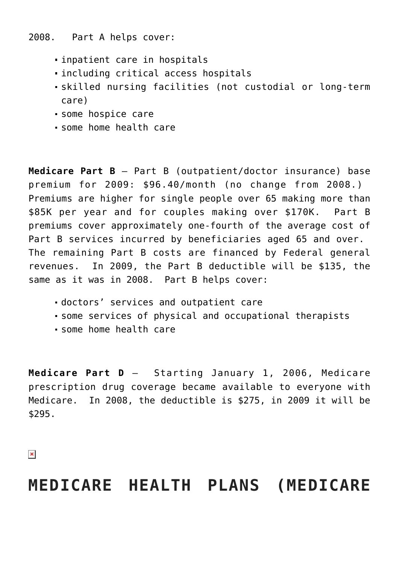2008. Part A helps cover:

- inpatient care in hospitals
- including critical access hospitals
- skilled nursing facilities (not custodial or long-term care)
- some hospice care
- some home health care

**Medicare Part B** – Part B (outpatient/doctor insurance) base premium for 2009: \$96.40/month (no change from 2008.) Premiums are higher for single people over 65 making more than \$85K per year and for couples making over \$170K. Part B premiums cover approximately one-fourth of the average cost of Part B services incurred by beneficiaries aged 65 and over. The remaining Part B costs are financed by Federal general revenues. In 2009, the Part B deductible will be \$135, the same as it was in 2008. Part B helps cover:

- doctors' services and outpatient care
- some services of physical and occupational therapists
- some home health care

**Medicare Part D** – Starting January 1, 2006, Medicare prescription drug coverage became available to everyone with Medicare. In 2008, the deductible is \$275, in 2009 it will be \$295.

 $\pmb{\times}$ 

### **MEDICARE HEALTH PLANS (MEDICARE**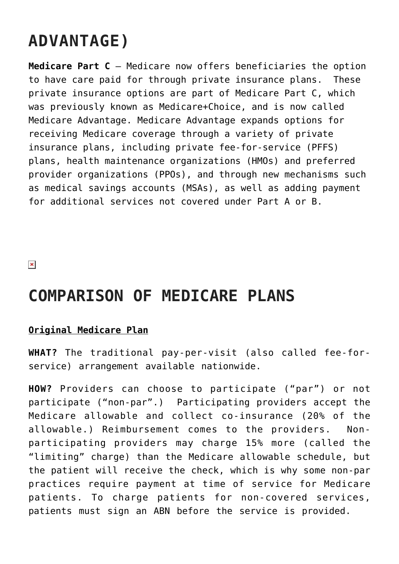# **ADVANTAGE)**

**Medicare Part C** – Medicare now offers beneficiaries the option to have care paid for through private insurance plans. These private insurance options are part of Medicare Part C, which was previously known as Medicare+Choice, and is now called Medicare Advantage. Medicare Advantage expands options for receiving Medicare coverage through a variety of private insurance plans, including private fee-for-service (PFFS) plans, health maintenance organizations (HMOs) and preferred provider organizations (PPOs), and through new mechanisms such as medical savings accounts (MSAs), as well as adding payment for additional services not covered under Part A or B.

 $\pmb{\times}$ 

### **COMPARISON OF MEDICARE PLANS**

### **Original Medicare Plan**

**WHAT?** The traditional pay-per-visit (also called fee-forservice) arrangement available nationwide.

**HOW?** Providers can choose to participate ("par") or not participate ("non-par".) Participating providers accept the Medicare allowable and collect co-insurance (20% of the allowable.) Reimbursement comes to the providers. Nonparticipating providers may charge 15% more (called the "limiting" charge) than the Medicare allowable schedule, but the patient will receive the check, which is why some non-par practices require payment at time of service for Medicare patients. To charge patients for non-covered services, patients must sign an ABN before the service is provided.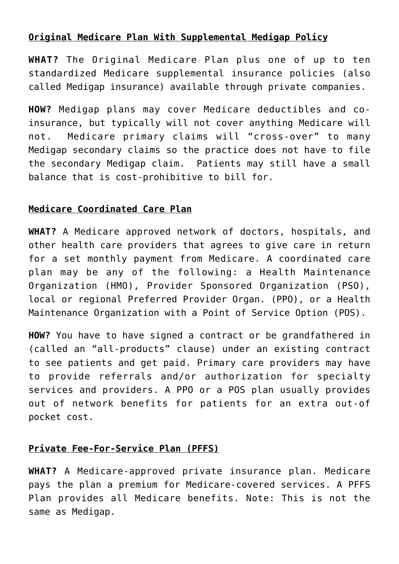### **Original Medicare Plan With Supplemental Medigap Policy**

**WHAT?** The Original Medicare Plan plus one of up to ten standardized Medicare supplemental insurance policies (also called Medigap insurance) available through private companies.

**HOW?** Medigap plans may cover Medicare deductibles and coinsurance, but typically will not cover anything Medicare will not. Medicare primary claims will "cross-over" to many Medigap secondary claims so the practice does not have to file the secondary Medigap claim. Patients may still have a small balance that is cost-prohibitive to bill for.

### **Medicare Coordinated Care Plan**

**WHAT?** A Medicare approved network of doctors, hospitals, and other health care providers that agrees to give care in return for a set monthly payment from Medicare. A coordinated care plan may be any of the following: a Health Maintenance Organization (HMO), Provider Sponsored Organization (PSO), local or regional Preferred Provider Organ. (PPO), or a Health Maintenance Organization with a Point of Service Option (POS).

**HOW?** You have to have signed a contract or be grandfathered in (called an "all-products" clause) under an existing contract to see patients and get paid. Primary care providers may have to provide referrals and/or authorization for specialty services and providers. A PPO or a POS plan usually provides out of network benefits for patients for an extra out-of pocket cost.

#### **Private Fee-For-Service Plan (PFFS)**

**WHAT?** A Medicare-approved private insurance plan. Medicare pays the plan a premium for Medicare-covered services. A PFFS Plan provides all Medicare benefits. Note: This is not the same as Medigap.